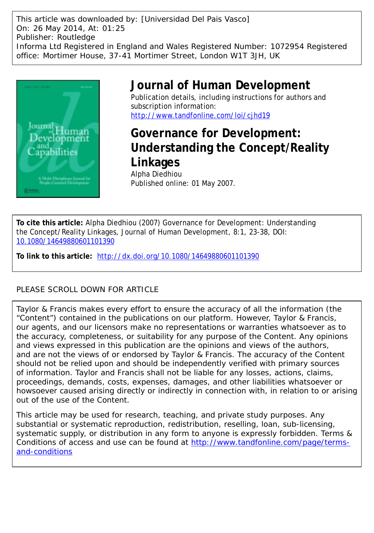This article was downloaded by: [Universidad Del Pais Vasco] On: 26 May 2014, At: 01:25 Publisher: Routledge Informa Ltd Registered in England and Wales Registered Number: 1072954 Registered office: Mortimer House, 37-41 Mortimer Street, London W1T 3JH, UK



# **Journal of Human Development**

Publication details, including instructions for authors and subscription information: <http://www.tandfonline.com/loi/cjhd19>

# **Governance for Development: Understanding the Concept/Reality Linkages** Alpha Diedhiou Published online: 01 May 2007.

**To cite this article:** Alpha Diedhiou (2007) Governance for Development: Understanding the Concept/Reality Linkages, Journal of Human Development, 8:1, 23-38, DOI: [10.1080/14649880601101390](http://www.tandfonline.com/action/showCitFormats?doi=10.1080/14649880601101390)

**To link to this article:** <http://dx.doi.org/10.1080/14649880601101390>

# PLEASE SCROLL DOWN FOR ARTICLE

Taylor & Francis makes every effort to ensure the accuracy of all the information (the "Content") contained in the publications on our platform. However, Taylor & Francis, our agents, and our licensors make no representations or warranties whatsoever as to the accuracy, completeness, or suitability for any purpose of the Content. Any opinions and views expressed in this publication are the opinions and views of the authors, and are not the views of or endorsed by Taylor & Francis. The accuracy of the Content should not be relied upon and should be independently verified with primary sources of information. Taylor and Francis shall not be liable for any losses, actions, claims, proceedings, demands, costs, expenses, damages, and other liabilities whatsoever or howsoever caused arising directly or indirectly in connection with, in relation to or arising out of the use of the Content.

This article may be used for research, teaching, and private study purposes. Any substantial or systematic reproduction, redistribution, reselling, loan, sub-licensing, systematic supply, or distribution in any form to anyone is expressly forbidden. Terms & Conditions of access and use can be found at [http://www.tandfonline.com/page/terms](http://www.tandfonline.com/page/terms-and-conditions)[and-conditions](http://www.tandfonline.com/page/terms-and-conditions)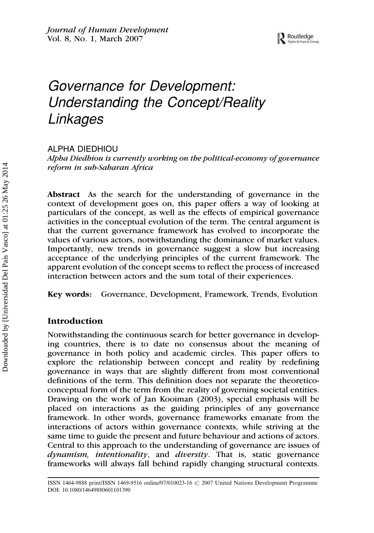# Governance for Development: Understanding the Concept/Reality Linkages

ALPHA DIEDHIOU

Alpha Diedhiou is currently working on the political-economy of governance reform in sub-Saharan Africa

Abstract As the search for the understanding of governance in the context of development goes on, this paper offers a way of looking at particulars of the concept, as well as the effects of empirical governance activities in the conceptual evolution of the term. The central argument is that the current governance framework has evolved to incorporate the values of various actors, notwithstanding the dominance of market values. Importantly, new trends in governance suggest a slow but increasing acceptance of the underlying principles of the current framework. The apparent evolution of the concept seems to reflect the process of increased interaction between actors and the sum total of their experiences.

Key words: Governance, Development, Framework, Trends, Evolution

# Introduction

Notwithstanding the continuous search for better governance in developing countries, there is to date no consensus about the meaning of governance in both policy and academic circles. This paper offers to explore the relationship between concept and reality by redefining governance in ways that are slightly different from most conventional definitions of the term. This definition does not separate the theoreticoconceptual form of the term from the reality of governing societal entities. Drawing on the work of Jan Kooiman (2003), special emphasis will be placed on interactions as the guiding principles of any governance framework. In other words, governance frameworks emanate from the interactions of actors within governance contexts, while striving at the same time to guide the present and future behaviour and actions of actors. Central to this approach to the understanding of governance are issues of  $dynamism, *intentionality*, and *diversity*. That is, static governance$ frameworks will always fall behind rapidly changing structural contexts.

ISSN 1464-9888 print/ISSN 1469-9516 online/07/010023-16  $\odot$  2007 United Nations Development Programme DOI: 10.1080/14649880601101390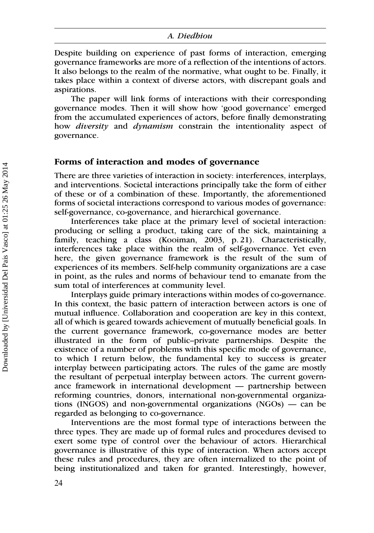Despite building on experience of past forms of interaction, emerging governance frameworks are more of a reflection of the intentions of actors. It also belongs to the realm of the normative, what ought to be. Finally, it takes place within a context of diverse actors, with discrepant goals and aspirations.

The paper will link forms of interactions with their corresponding governance modes. Then it will show how 'good governance' emerged from the accumulated experiences of actors, before finally demonstrating how *diversity* and *dynamism* constrain the intentionality aspect of governance.

# Forms of interaction and modes of governance

There are three varieties of interaction in society: interferences, interplays, and interventions. Societal interactions principally take the form of either of these or of a combination of these. Importantly, the aforementioned forms of societal interactions correspond to various modes of governance: self-governance, co-governance, and hierarchical governance.

Interferences take place at the primary level of societal interaction: producing or selling a product, taking care of the sick, maintaining a family, teaching a class (Kooiman, 2003, p. 21). Characteristically, interferences take place within the realm of self-governance. Yet even here, the given governance framework is the result of the sum of experiences of its members. Self-help community organizations are a case in point, as the rules and norms of behaviour tend to emanate from the sum total of interferences at community level.

Interplays guide primary interactions within modes of co-governance. In this context, the basic pattern of interaction between actors is one of mutual influence. Collaboration and cooperation are key in this context, all of which is geared towards achievement of mutually beneficial goals. In the current governance framework, co-governance modes are better illustrated in the form of public–private partnerships. Despite the existence of a number of problems with this specific mode of governance, to which I return below, the fundamental key to success is greater interplay between participating actors. The rules of the game are mostly the resultant of perpetual interplay between actors. The current governance framework in international development — partnership between reforming countries, donors, international non-governmental organizations (INGOS) and non-governmental organizations (NGOs) — can be regarded as belonging to co-governance.

Interventions are the most formal type of interactions between the three types. They are made up of formal rules and procedures devised to exert some type of control over the behaviour of actors. Hierarchical governance is illustrative of this type of interaction. When actors accept these rules and procedures, they are often internalized to the point of being institutionalized and taken for granted. Interestingly, however,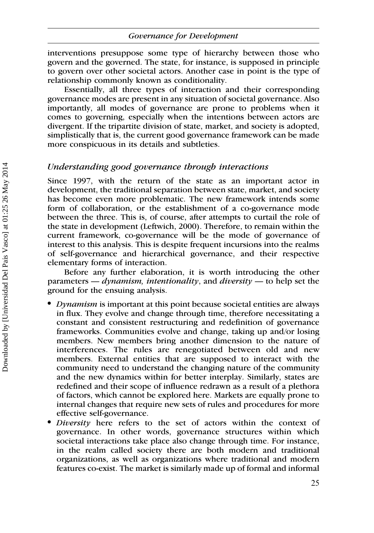interventions presuppose some type of hierarchy between those who govern and the governed. The state, for instance, is supposed in principle to govern over other societal actors. Another case in point is the type of relationship commonly known as conditionality.

Essentially, all three types of interaction and their corresponding governance modes are present in any situation of societal governance. Also importantly, all modes of governance are prone to problems when it comes to governing, especially when the intentions between actors are divergent. If the tripartite division of state, market, and society is adopted, simplistically that is, the current good governance framework can be made more conspicuous in its details and subtleties.

## Understanding good governance through interactions

Since 1997, with the return of the state as an important actor in development, the traditional separation between state, market, and society has become even more problematic. The new framework intends some form of collaboration, or the establishment of a co-governance mode between the three. This is, of course, after attempts to curtail the role of the state in development (Leftwich, 2000). Therefore, to remain within the current framework, co-governance will be the mode of governance of interest to this analysis. This is despite frequent incursions into the realms of self-governance and hierarchical governance, and their respective elementary forms of interaction.

Before any further elaboration, it is worth introducing the other parameters — dynamism, intentionality, and diversity — to help set the ground for the ensuing analysis.

- Dynamism is important at this point because societal entities are always in flux. They evolve and change through time, therefore necessitating a constant and consistent restructuring and redefinition of governance frameworks. Communities evolve and change, taking up and/or losing members. New members bring another dimension to the nature of interferences. The rules are renegotiated between old and new members. External entities that are supposed to interact with the community need to understand the changing nature of the community and the new dynamics within for better interplay. Similarly, states are redefined and their scope of influence redrawn as a result of a plethora of factors, which cannot be explored here. Markets are equally prone to internal changes that require new sets of rules and procedures for more effective self-governance.
- Diversity here refers to the set of actors within the context of governance. In other words, governance structures within which societal interactions take place also change through time. For instance, in the realm called society there are both modern and traditional organizations, as well as organizations where traditional and modern features co-exist. The market is similarly made up of formal and informal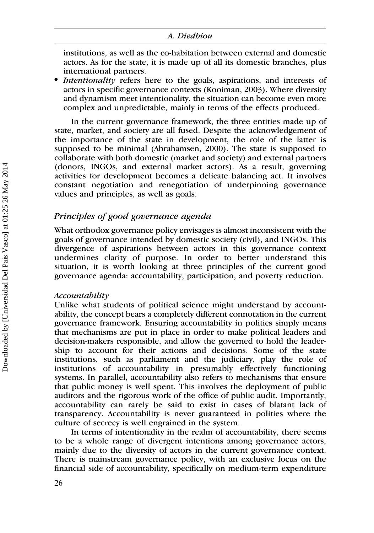institutions, as well as the co-habitation between external and domestic actors. As for the state, it is made up of all its domestic branches, plus international partners.

• Intentionality refers here to the goals, aspirations, and interests of actors in specific governance contexts (Kooiman, 2003). Where diversity and dynamism meet intentionality, the situation can become even more complex and unpredictable, mainly in terms of the effects produced.

In the current governance framework, the three entities made up of state, market, and society are all fused. Despite the acknowledgement of the importance of the state in development, the role of the latter is supposed to be minimal (Abrahamsen, 2000). The state is supposed to collaborate with both domestic (market and society) and external partners (donors, INGOs, and external market actors). As a result, governing activities for development becomes a delicate balancing act. It involves constant negotiation and renegotiation of underpinning governance values and principles, as well as goals.

# Principles of good governance agenda

What orthodox governance policy envisages is almost inconsistent with the goals of governance intended by domestic society (civil), and INGOs. This divergence of aspirations between actors in this governance context undermines clarity of purpose. In order to better understand this situation, it is worth looking at three principles of the current good governance agenda: accountability, participation, and poverty reduction.

# Accountability

Unlike what students of political science might understand by accountability, the concept bears a completely different connotation in the current governance framework. Ensuring accountability in politics simply means that mechanisms are put in place in order to make political leaders and decision-makers responsible, and allow the governed to hold the leadership to account for their actions and decisions. Some of the state institutions, such as parliament and the judiciary, play the role of institutions of accountability in presumably effectively functioning systems. In parallel, accountability also refers to mechanisms that ensure that public money is well spent. This involves the deployment of public auditors and the rigorous work of the office of public audit. Importantly, accountability can rarely be said to exist in cases of blatant lack of transparency. Accountability is never guaranteed in polities where the culture of secrecy is well engrained in the system.

In terms of intentionality in the realm of accountability, there seems to be a whole range of divergent intentions among governance actors, mainly due to the diversity of actors in the current governance context. There is mainstream governance policy, with an exclusive focus on the financial side of accountability, specifically on medium-term expenditure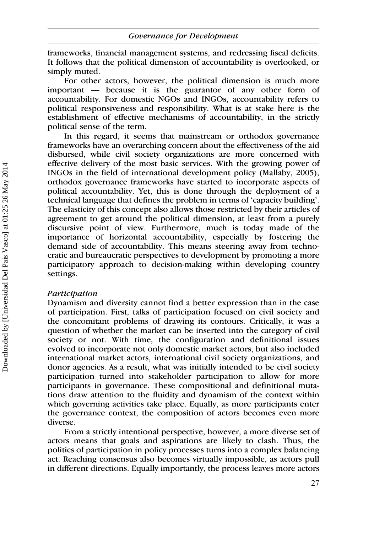frameworks, financial management systems, and redressing fiscal deficits. It follows that the political dimension of accountability is overlooked, or simply muted.

For other actors, however, the political dimension is much more important — because it is the guarantor of any other form of accountability. For domestic NGOs and INGOs, accountability refers to political responsiveness and responsibility. What is at stake here is the establishment of effective mechanisms of accountability, in the strictly political sense of the term.

In this regard, it seems that mainstream or orthodox governance frameworks have an overarching concern about the effectiveness of the aid disbursed, while civil society organizations are more concerned with effective delivery of the most basic services. With the growing power of INGOs in the field of international development policy (Mallaby, 2005), orthodox governance frameworks have started to incorporate aspects of political accountability. Yet, this is done through the deployment of a technical language that defines the problem in terms of 'capacity building'. The elasticity of this concept also allows those restricted by their articles of agreement to get around the political dimension, at least from a purely discursive point of view. Furthermore, much is today made of the importance of horizontal accountability, especially by fostering the demand side of accountability. This means steering away from technocratic and bureaucratic perspectives to development by promoting a more participatory approach to decision-making within developing country settings.

### Participation

Dynamism and diversity cannot find a better expression than in the case of participation. First, talks of participation focused on civil society and the concomitant problems of drawing its contours. Critically, it was a question of whether the market can be inserted into the category of civil society or not. With time, the configuration and definitional issues evolved to incorporate not only domestic market actors, but also included international market actors, international civil society organizations, and donor agencies. As a result, what was initially intended to be civil society participation turned into stakeholder participation to allow for more participants in governance. These compositional and definitional mutations draw attention to the fluidity and dynamism of the context within which governing activities take place. Equally, as more participants enter the governance context, the composition of actors becomes even more diverse.

From a strictly intentional perspective, however, a more diverse set of actors means that goals and aspirations are likely to clash. Thus, the politics of participation in policy processes turns into a complex balancing act. Reaching consensus also becomes virtually impossible, as actors pull in different directions. Equally importantly, the process leaves more actors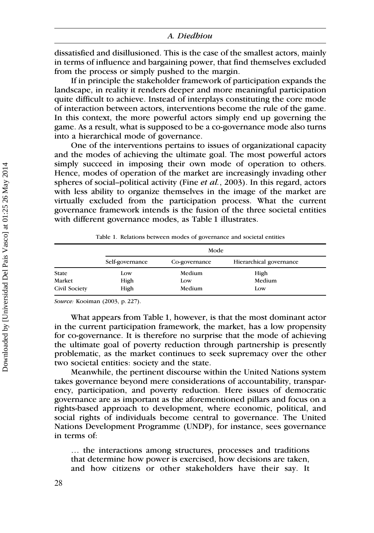dissatisfied and disillusioned. This is the case of the smallest actors, mainly in terms of influence and bargaining power, that find themselves excluded from the process or simply pushed to the margin.

If in principle the stakeholder framework of participation expands the landscape, in reality it renders deeper and more meaningful participation quite difficult to achieve. Instead of interplays constituting the core mode of interaction between actors, interventions become the rule of the game. In this context, the more powerful actors simply end up governing the game. As a result, what is supposed to be a co-governance mode also turns into a hierarchical mode of governance.

One of the interventions pertains to issues of organizational capacity and the modes of achieving the ultimate goal. The most powerful actors simply succeed in imposing their own mode of operation to others. Hence, modes of operation of the market are increasingly invading other spheres of social-political activity (Fine et al., 2003). In this regard, actors with less ability to organize themselves in the image of the market are virtually excluded from the participation process. What the current governance framework intends is the fusion of the three societal entities with different governance modes, as Table 1 illustrates.

|                       | Mode            |               |                         |  |  |
|-----------------------|-----------------|---------------|-------------------------|--|--|
|                       | Self-governance | Co-governance | Hierarchical governance |  |  |
| State                 | Low             | Medium        | High                    |  |  |
| Market                | High            | Low           | Medium                  |  |  |
| High<br>Civil Society |                 | Medium        | Low                     |  |  |

|  |  |  |  |  |  | Table 1. Relations between modes of governance and societal entities |  |  |  |
|--|--|--|--|--|--|----------------------------------------------------------------------|--|--|--|
|--|--|--|--|--|--|----------------------------------------------------------------------|--|--|--|

Source: Kooiman (2003, p. 227).

What appears from Table 1, however, is that the most dominant actor in the current participation framework, the market, has a low propensity for co-governance. It is therefore no surprise that the mode of achieving the ultimate goal of poverty reduction through partnership is presently problematic, as the market continues to seek supremacy over the other two societal entities: society and the state.

Meanwhile, the pertinent discourse within the United Nations system takes governance beyond mere considerations of accountability, transparency, participation, and poverty reduction. Here issues of democratic governance are as important as the aforementioned pillars and focus on a rights-based approach to development, where economic, political, and social rights of individuals become central to governance. The United Nations Development Programme (UNDP), for instance, sees governance in terms of:

… the interactions among structures, processes and traditions that determine how power is exercised, how decisions are taken, and how citizens or other stakeholders have their say. It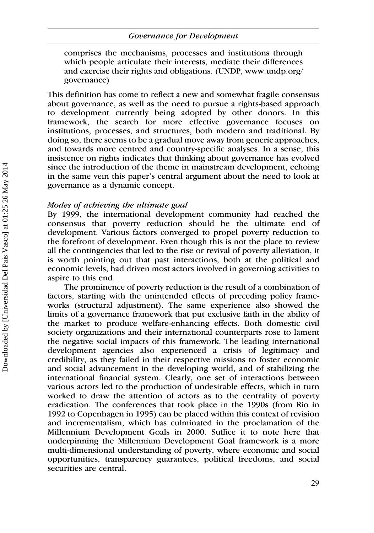comprises the mechanisms, processes and institutions through which people articulate their interests, mediate their differences and exercise their rights and obligations. (UNDP, www.undp.org/ governance)

This definition has come to reflect a new and somewhat fragile consensus about governance, as well as the need to pursue a rights-based approach to development currently being adopted by other donors. In this framework, the search for more effective governance focuses on institutions, processes, and structures, both modern and traditional. By doing so, there seems to be a gradual move away from generic approaches, and towards more centred and country-specific analyses. In a sense, this insistence on rights indicates that thinking about governance has evolved since the introduction of the theme in mainstream development, echoing in the same vein this paper's central argument about the need to look at governance as a dynamic concept.

#### Modes of achieving the ultimate goal

By 1999, the international development community had reached the consensus that poverty reduction should be the ultimate end of development. Various factors converged to propel poverty reduction to the forefront of development. Even though this is not the place to review all the contingencies that led to the rise or revival of poverty alleviation, it is worth pointing out that past interactions, both at the political and economic levels, had driven most actors involved in governing activities to aspire to this end.

The prominence of poverty reduction is the result of a combination of factors, starting with the unintended effects of preceding policy frameworks (structural adjustment). The same experience also showed the limits of a governance framework that put exclusive faith in the ability of the market to produce welfare-enhancing effects. Both domestic civil society organizations and their international counterparts rose to lament the negative social impacts of this framework. The leading international development agencies also experienced a crisis of legitimacy and credibility, as they failed in their respective missions to foster economic and social advancement in the developing world, and of stabilizing the international financial system. Clearly, one set of interactions between various actors led to the production of undesirable effects, which in turn worked to draw the attention of actors as to the centrality of poverty eradication. The conferences that took place in the 1990s (from Rio in 1992 to Copenhagen in 1995) can be placed within this context of revision and incrementalism, which has culminated in the proclamation of the Millennium Development Goals in 2000. Suffice it to note here that underpinning the Millennium Development Goal framework is a more multi-dimensional understanding of poverty, where economic and social opportunities, transparency guarantees, political freedoms, and social securities are central.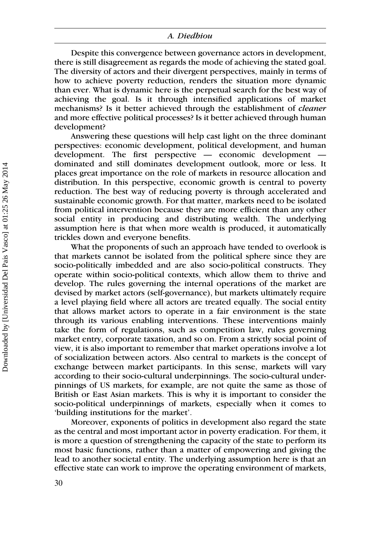#### A. Diedhiou

Despite this convergence between governance actors in development, there is still disagreement as regards the mode of achieving the stated goal. The diversity of actors and their divergent perspectives, mainly in terms of how to achieve poverty reduction, renders the situation more dynamic than ever. What is dynamic here is the perpetual search for the best way of achieving the goal. Is it through intensified applications of market mechanisms? Is it better achieved through the establishment of *cleaner* and more effective political processes? Is it better achieved through human development?

Answering these questions will help cast light on the three dominant perspectives: economic development, political development, and human development. The first perspective — economic development dominated and still dominates development outlook, more or less. It places great importance on the role of markets in resource allocation and distribution. In this perspective, economic growth is central to poverty reduction. The best way of reducing poverty is through accelerated and sustainable economic growth. For that matter, markets need to be isolated from political intervention because they are more efficient than any other social entity in producing and distributing wealth. The underlying assumption here is that when more wealth is produced, it automatically trickles down and everyone benefits.

What the proponents of such an approach have tended to overlook is that markets cannot be isolated from the political sphere since they are socio-politically imbedded and are also socio-political constructs. They operate within socio-political contexts, which allow them to thrive and develop. The rules governing the internal operations of the market are devised by market actors (self-governance), but markets ultimately require a level playing field where all actors are treated equally. The social entity that allows market actors to operate in a fair environment is the state through its various enabling interventions. These interventions mainly take the form of regulations, such as competition law, rules governing market entry, corporate taxation, and so on. From a strictly social point of view, it is also important to remember that market operations involve a lot of socialization between actors. Also central to markets is the concept of exchange between market participants. In this sense, markets will vary according to their socio-cultural underpinnings. The socio-cultural underpinnings of US markets, for example, are not quite the same as those of British or East Asian markets. This is why it is important to consider the socio-political underpinnings of markets, especially when it comes to 'building institutions for the market'.

Moreover, exponents of politics in development also regard the state as the central and most important actor in poverty eradication. For them, it is more a question of strengthening the capacity of the state to perform its most basic functions, rather than a matter of empowering and giving the lead to another societal entity. The underlying assumption here is that an effective state can work to improve the operating environment of markets,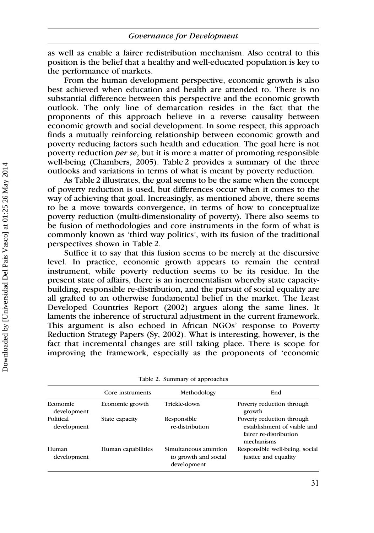as well as enable a fairer redistribution mechanism. Also central to this position is the belief that a healthy and well-educated population is key to the performance of markets.

From the human development perspective, economic growth is also best achieved when education and health are attended to. There is no substantial difference between this perspective and the economic growth outlook. The only line of demarcation resides in the fact that the proponents of this approach believe in a reverse causality between economic growth and social development. In some respect, this approach finds a mutually reinforcing relationship between economic growth and poverty reducing factors such health and education. The goal here is not poverty reduction per se, but it is more a matter of promoting responsible well-being (Chambers, 2005). Table 2 provides a summary of the three outlooks and variations in terms of what is meant by poverty reduction.

As Table 2 illustrates, the goal seems to be the same when the concept of poverty reduction is used, but differences occur when it comes to the way of achieving that goal. Increasingly, as mentioned above, there seems to be a move towards convergence, in terms of how to conceptualize poverty reduction (multi-dimensionality of poverty). There also seems to be fusion of methodologies and core instruments in the form of what is commonly known as 'third way politics', with its fusion of the traditional perspectives shown in Table 2.

Suffice it to say that this fusion seems to be merely at the discursive level. In practice, economic growth appears to remain the central instrument, while poverty reduction seems to be its residue. In the present state of affairs, there is an incrementalism whereby state capacitybuilding, responsible re-distribution, and the pursuit of social equality are all grafted to an otherwise fundamental belief in the market. The Least Developed Countries Report (2002) argues along the same lines. It laments the inherence of structural adjustment in the current framework. This argument is also echoed in African NGOs' response to Poverty Reduction Strategy Papers (Sy, 2002). What is interesting, however, is the fact that incremental changes are still taking place. There is scope for improving the framework, especially as the proponents of 'economic

|                          | Core instruments   | Methodology                                                   | End                                                                                              |
|--------------------------|--------------------|---------------------------------------------------------------|--------------------------------------------------------------------------------------------------|
| Economic<br>development  | Economic growth    | Trickle-down                                                  | Poverty reduction through<br>growth                                                              |
| Political<br>development | State capacity     | Responsible<br>re-distribution                                | Poverty reduction through<br>establishment of viable and<br>fairer re-distribution<br>mechanisms |
| Human<br>development     | Human capabilities | Simultaneous attention<br>to growth and social<br>development | Responsible well-being, social<br>justice and equality                                           |

Table 2. Summary of approaches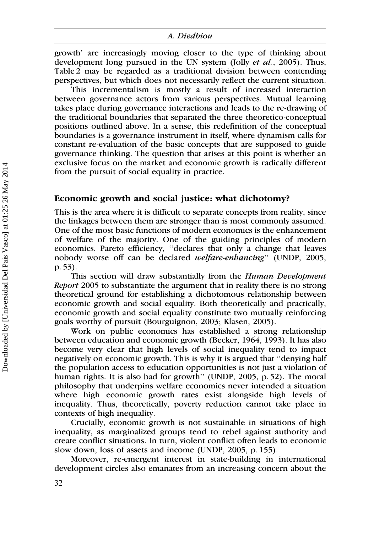#### A. Diedhiou

growth' are increasingly moving closer to the type of thinking about development long pursued in the UN system (Jolly *et al.*, 2005). Thus, Table 2 may be regarded as a traditional division between contending perspectives, but which does not necessarily reflect the current situation.

This incrementalism is mostly a result of increased interaction between governance actors from various perspectives. Mutual learning takes place during governance interactions and leads to the re-drawing of the traditional boundaries that separated the three theoretico-conceptual positions outlined above. In a sense, this redefinition of the conceptual boundaries is a governance instrument in itself, where dynamism calls for constant re-evaluation of the basic concepts that are supposed to guide governance thinking. The question that arises at this point is whether an exclusive focus on the market and economic growth is radically different from the pursuit of social equality in practice.

# Economic growth and social justice: what dichotomy?

This is the area where it is difficult to separate concepts from reality, since the linkages between them are stronger than is most commonly assumed. One of the most basic functions of modern economics is the enhancement of welfare of the majority. One of the guiding principles of modern economics, Pareto efficiency, ''declares that only a change that leaves nobody worse off can be declared welfare-enhancing'' (UNDP, 2005, p. 53).

This section will draw substantially from the Human Development Report 2005 to substantiate the argument that in reality there is no strong theoretical ground for establishing a dichotomous relationship between economic growth and social equality. Both theoretically and practically, economic growth and social equality constitute two mutually reinforcing goals worthy of pursuit (Bourguignon, 2003; Klasen, 2005).

Work on public economics has established a strong relationship between education and economic growth (Becker, 1964, 1993). It has also become very clear that high levels of social inequality tend to impact negatively on economic growth. This is why it is argued that ''denying half the population access to education opportunities is not just a violation of human rights. It is also bad for growth'' (UNDP, 2005, p. 52). The moral philosophy that underpins welfare economics never intended a situation where high economic growth rates exist alongside high levels of inequality. Thus, theoretically, poverty reduction cannot take place in contexts of high inequality.

Crucially, economic growth is not sustainable in situations of high inequality, as marginalized groups tend to rebel against authority and create conflict situations. In turn, violent conflict often leads to economic slow down, loss of assets and income (UNDP, 2005, p. 155).

Moreover, re-emergent interest in state-building in international development circles also emanates from an increasing concern about the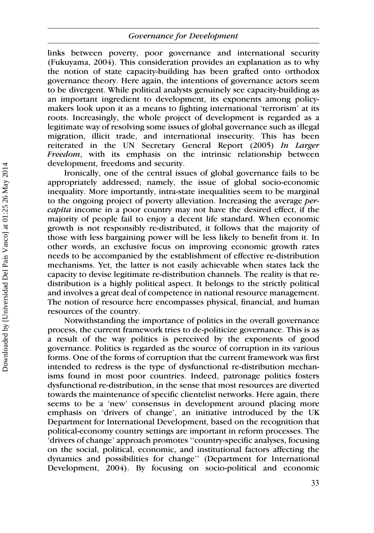links between poverty, poor governance and international security (Fukuyama, 2004). This consideration provides an explanation as to why the notion of state capacity-building has been grafted onto orthodox governance theory. Here again, the intentions of governance actors seem to be divergent. While political analysts genuinely see capacity-building as an important ingredient to development, its exponents among policymakers look upon it as a means to fighting international 'terrorism' at its roots. Increasingly, the whole project of development is regarded as a legitimate way of resolving some issues of global governance such as illegal migration, illicit trade, and international insecurity. This has been reiterated in the UN Secretary General Report (2005) In Larger Freedom, with its emphasis on the intrinsic relationship between development, freedoms and security.

Ironically, one of the central issues of global governance fails to be appropriately addressed; namely, the issue of global socio-economic inequality. More importantly, intra-state inequalities seem to be marginal to the ongoing project of poverty alleviation. Increasing the average percapita income in a poor country may not have the desired effect, if the majority of people fail to enjoy a decent life standard. When economic growth is not responsibly re-distributed, it follows that the majority of those with less bargaining power will be less likely to benefit from it. In other words, an exclusive focus on improving economic growth rates needs to be accompanied by the establishment of effective re-distribution mechanisms. Yet, the latter is not easily achievable when states lack the capacity to devise legitimate re-distribution channels. The reality is that redistribution is a highly political aspect. It belongs to the strictly political and involves a great deal of competence in national resource management. The notion of resource here encompasses physical, financial, and human resources of the country.

Notwithstanding the importance of politics in the overall governance process, the current framework tries to de-politicize governance. This is as a result of the way politics is perceived by the exponents of good governance. Politics is regarded as the source of corruption in its various forms. One of the forms of corruption that the current framework was first intended to redress is the type of dysfunctional re-distribution mechanisms found in most poor countries. Indeed, patronage politics fosters dysfunctional re-distribution, in the sense that most resources are diverted towards the maintenance of specific clientelist networks. Here again, there seems to be a 'new' consensus in development around placing more emphasis on 'drivers of change', an initiative introduced by the UK Department for International Development, based on the recognition that political-economy country settings are important in reform processes. The 'drivers of change' approach promotes ''country-specific analyses, focusing on the social, political, economic, and institutional factors affecting the dynamics and possibilities for change'' (Department for International Development, 2004). By focusing on socio-political and economic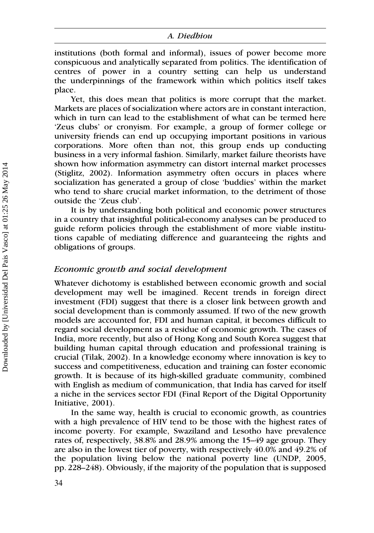institutions (both formal and informal), issues of power become more conspicuous and analytically separated from politics. The identification of centres of power in a country setting can help us understand the underpinnings of the framework within which politics itself takes place.

Yet, this does mean that politics is more corrupt that the market. Markets are places of socialization where actors are in constant interaction, which in turn can lead to the establishment of what can be termed here 'Zeus clubs' or cronyism. For example, a group of former college or university friends can end up occupying important positions in various corporations. More often than not, this group ends up conducting business in a very informal fashion. Similarly, market failure theorists have shown how information asymmetry can distort internal market processes (Stiglitz, 2002). Information asymmetry often occurs in places where socialization has generated a group of close 'buddies' within the market who tend to share crucial market information, to the detriment of those outside the 'Zeus club'.

It is by understanding both political and economic power structures in a country that insightful political-economy analyses can be produced to guide reform policies through the establishment of more viable institutions capable of mediating difference and guaranteeing the rights and obligations of groups.

# Economic growth and social development

Whatever dichotomy is established between economic growth and social development may well be imagined. Recent trends in foreign direct investment (FDI) suggest that there is a closer link between growth and social development than is commonly assumed. If two of the new growth models are accounted for, FDI and human capital, it becomes difficult to regard social development as a residue of economic growth. The cases of India, more recently, but also of Hong Kong and South Korea suggest that building human capital through education and professional training is crucial (Tilak, 2002). In a knowledge economy where innovation is key to success and competitiveness, education and training can foster economic growth. It is because of its high-skilled graduate community, combined with English as medium of communication, that India has carved for itself a niche in the services sector FDI (Final Report of the Digital Opportunity Initiative, 2001).

In the same way, health is crucial to economic growth, as countries with a high prevalence of HIV tend to be those with the highest rates of income poverty. For example, Swaziland and Lesotho have prevalence rates of, respectively, 38.8% and 28.9% among the 15–49 age group. They are also in the lowest tier of poverty, with respectively 40.0% and 49.2% of the population living below the national poverty line (UNDP, 2005, pp. 228–248). Obviously, if the majority of the population that is supposed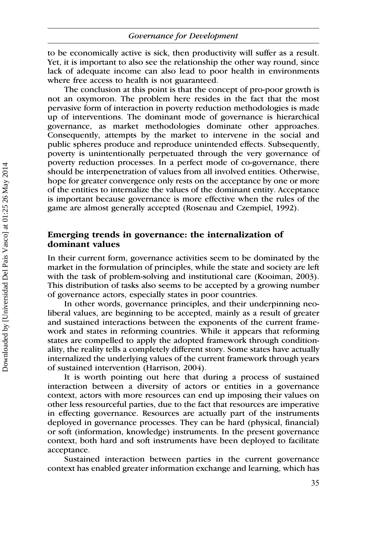to be economically active is sick, then productivity will suffer as a result. Yet, it is important to also see the relationship the other way round, since lack of adequate income can also lead to poor health in environments where free access to health is not guaranteed.

The conclusion at this point is that the concept of pro-poor growth is not an oxymoron. The problem here resides in the fact that the most pervasive form of interaction in poverty reduction methodologies is made up of interventions. The dominant mode of governance is hierarchical governance, as market methodologies dominate other approaches. Consequently, attempts by the market to intervene in the social and public spheres produce and reproduce unintended effects. Subsequently, poverty is unintentionally perpetuated through the very governance of poverty reduction processes. In a perfect mode of co-governance, there should be interpenetration of values from all involved entities. Otherwise, hope for greater convergence only rests on the acceptance by one or more of the entities to internalize the values of the dominant entity. Acceptance is important because governance is more effective when the rules of the game are almost generally accepted (Rosenau and Czempiel, 1992).

# Emerging trends in governance: the internalization of dominant values

In their current form, governance activities seem to be dominated by the market in the formulation of principles, while the state and society are left with the task of problem-solving and institutional care (Kooiman, 2003). This distribution of tasks also seems to be accepted by a growing number of governance actors, especially states in poor countries.

In other words, governance principles, and their underpinning neoliberal values, are beginning to be accepted, mainly as a result of greater and sustained interactions between the exponents of the current framework and states in reforming countries. While it appears that reforming states are compelled to apply the adopted framework through conditionality, the reality tells a completely different story. Some states have actually internalized the underlying values of the current framework through years of sustained intervention (Harrison, 2004).

It is worth pointing out here that during a process of sustained interaction between a diversity of actors or entities in a governance context, actors with more resources can end up imposing their values on other less resourceful parties, due to the fact that resources are imperative in effecting governance. Resources are actually part of the instruments deployed in governance processes. They can be hard (physical, financial) or soft (information, knowledge) instruments. In the present governance context, both hard and soft instruments have been deployed to facilitate acceptance.

Sustained interaction between parties in the current governance context has enabled greater information exchange and learning, which has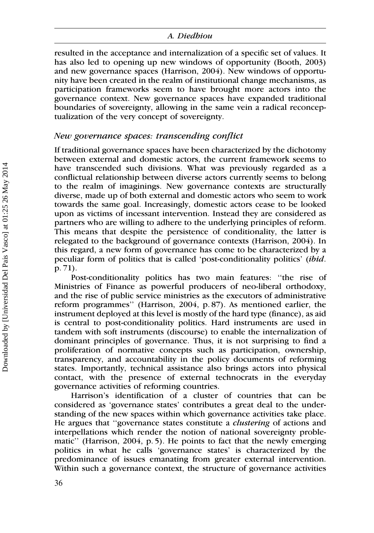#### A. Diedhiou

resulted in the acceptance and internalization of a specific set of values. It has also led to opening up new windows of opportunity (Booth, 2003) and new governance spaces (Harrison, 2004). New windows of opportunity have been created in the realm of institutional change mechanisms, as participation frameworks seem to have brought more actors into the governance context. New governance spaces have expanded traditional boundaries of sovereignty, allowing in the same vein a radical reconceptualization of the very concept of sovereignty.

## New governance spaces: transcending conflict

If traditional governance spaces have been characterized by the dichotomy between external and domestic actors, the current framework seems to have transcended such divisions. What was previously regarded as a conflictual relationship between diverse actors currently seems to belong to the realm of imaginings. New governance contexts are structurally diverse, made up of both external and domestic actors who seem to work towards the same goal. Increasingly, domestic actors cease to be looked upon as victims of incessant intervention. Instead they are considered as partners who are willing to adhere to the underlying principles of reform. This means that despite the persistence of conditionality, the latter is relegated to the background of governance contexts (Harrison, 2004). In this regard, a new form of governance has come to be characterized by a peculiar form of politics that is called 'post-conditionality politics' (ibid. p. 71).

Post-conditionality politics has two main features: ''the rise of Ministries of Finance as powerful producers of neo-liberal orthodoxy, and the rise of public service ministries as the executors of administrative reform programmes'' (Harrison, 2004, p. 87). As mentioned earlier, the instrument deployed at this level is mostly of the hard type (finance), as aid is central to post-conditionality politics. Hard instruments are used in tandem with soft instruments (discourse) to enable the internalization of dominant principles of governance. Thus, it is not surprising to find a proliferation of normative concepts such as participation, ownership, transparency, and accountability in the policy documents of reforming states. Importantly, technical assistance also brings actors into physical contact, with the presence of external technocrats in the everyday governance activities of reforming countries.

Harrison's identification of a cluster of countries that can be considered as 'governance states' contributes a great deal to the understanding of the new spaces within which governance activities take place. He argues that ''governance states constitute a clustering of actions and interpellations which render the notion of national sovereignty problematic'' (Harrison, 2004, p. 5). He points to fact that the newly emerging politics in what he calls 'governance states' is characterized by the predominance of issues emanating from greater external intervention. Within such a governance context, the structure of governance activities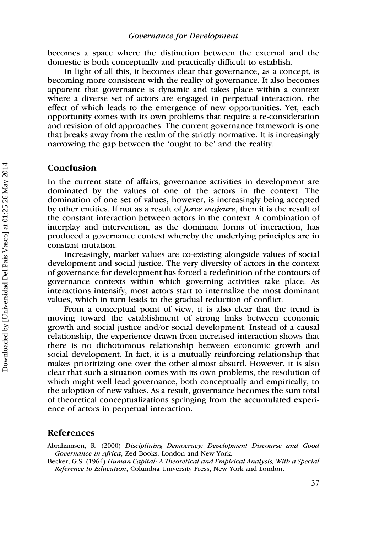becomes a space where the distinction between the external and the domestic is both conceptually and practically difficult to establish.

In light of all this, it becomes clear that governance, as a concept, is becoming more consistent with the reality of governance. It also becomes apparent that governance is dynamic and takes place within a context where a diverse set of actors are engaged in perpetual interaction, the effect of which leads to the emergence of new opportunities. Yet, each opportunity comes with its own problems that require a re-consideration and revision of old approaches. The current governance framework is one that breaks away from the realm of the strictly normative. It is increasingly narrowing the gap between the 'ought to be' and the reality.

# Conclusion

In the current state of affairs, governance activities in development are dominated by the values of one of the actors in the context. The domination of one set of values, however, is increasingly being accepted by other entities. If not as a result of *force majeure*, then it is the result of the constant interaction between actors in the context. A combination of interplay and intervention, as the dominant forms of interaction, has produced a governance context whereby the underlying principles are in constant mutation.

Increasingly, market values are co-existing alongside values of social development and social justice. The very diversity of actors in the context of governance for development has forced a redefinition of the contours of governance contexts within which governing activities take place. As interactions intensify, most actors start to internalize the most dominant values, which in turn leads to the gradual reduction of conflict.

From a conceptual point of view, it is also clear that the trend is moving toward the establishment of strong links between economic growth and social justice and/or social development. Instead of a causal relationship, the experience drawn from increased interaction shows that there is no dichotomous relationship between economic growth and social development. In fact, it is a mutually reinforcing relationship that makes prioritizing one over the other almost absurd. However, it is also clear that such a situation comes with its own problems, the resolution of which might well lead governance, both conceptually and empirically, to the adoption of new values. As a result, governance becomes the sum total of theoretical conceptualizations springing from the accumulated experience of actors in perpetual interaction.

#### References

Abrahamsen, R. (2000) Disciplining Democracy: Development Discourse and Good Governance in Africa, Zed Books, London and New York.

Becker, G.S. (1964) Human Capital: A Theoretical and Empirical Analysis, With a Special Reference to Education, Columbia University Press, New York and London.